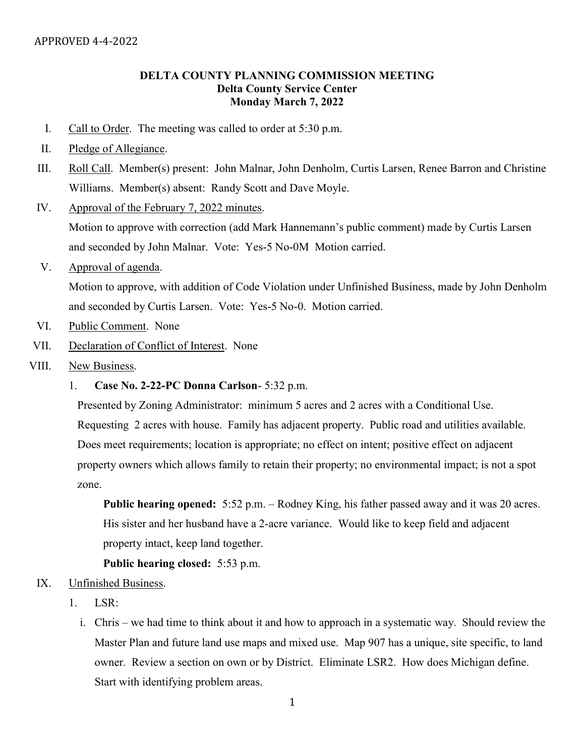## DELTA COUNTY PLANNING COMMISSION MEETING Delta County Service Center Monday March 7, 2022

- I. Call to Order. The meeting was called to order at 5:30 p.m.
- II. Pledge of Allegiance.
- III. Roll Call. Member(s) present: John Malnar, John Denholm, Curtis Larsen, Renee Barron and Christine Williams. Member(s) absent: Randy Scott and Dave Moyle.
- IV. Approval of the February 7, 2022 minutes.

Motion to approve with correction (add Mark Hannemann's public comment) made by Curtis Larsen and seconded by John Malnar. Vote: Yes-5 No-0M Motion carried.

V. Approval of agenda.

Motion to approve, with addition of Code Violation under Unfinished Business, made by John Denholm and seconded by Curtis Larsen. Vote: Yes-5 No-0. Motion carried.

- VI. Public Comment. None
- VII. Declaration of Conflict of Interest. None
- VIII. New Business.
	- 1. Case No. 2-22-PC Donna Carlson- 5:32 p.m.

Presented by Zoning Administrator: minimum 5 acres and 2 acres with a Conditional Use. Requesting 2 acres with house. Family has adjacent property. Public road and utilities available. Does meet requirements; location is appropriate; no effect on intent; positive effect on adjacent property owners which allows family to retain their property; no environmental impact; is not a spot zone.

Public hearing opened: 5:52 p.m. – Rodney King, his father passed away and it was 20 acres. His sister and her husband have a 2-acre variance. Would like to keep field and adjacent property intact, keep land together.

## Public hearing closed: 5:53 p.m.

## IX. Unfinished Business.

- 1. LSR:
	- i. Chris we had time to think about it and how to approach in a systematic way. Should review the Master Plan and future land use maps and mixed use. Map 907 has a unique, site specific, to land owner. Review a section on own or by District. Eliminate LSR2. How does Michigan define. Start with identifying problem areas.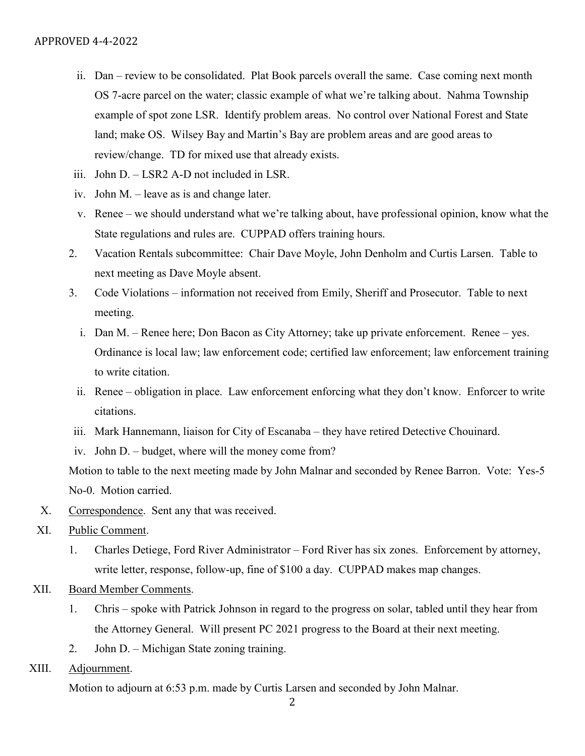- ii. Dan review to be consolidated. Plat Book parcels overall the same. Case coming next month OS 7-acre parcel on the water; classic example of what we're talking about. Nahma Township example of spot zone LSR. Identify problem areas. No control over National Forest and State land; make OS. Wilsey Bay and Martin's Bay are problem areas and are good areas to review/change. TD for mixed use that already exists.
- iii. John D. LSR2 A-D not included in LSR.
- iv. John M. leave as is and change later.
- v. Renee we should understand what we're talking about, have professional opinion, know what the State regulations and rules are. CUPPAD offers training hours.
- 2. Vacation Rentals subcommittee: Chair Dave Moyle, John Denholm and Curtis Larsen. Table to next meeting as Dave Moyle absent.
- 3. Code Violations information not received from Emily, Sheriff and Prosecutor. Table to next meeting.
	- i. Dan M. Renee here; Don Bacon as City Attorney; take up private enforcement. Renee yes. Ordinance is local law; law enforcement code; certified law enforcement; law enforcement training to write citation.
	- ii. Renee obligation in place. Law enforcement enforcing what they don't know. Enforcer to write citations.
- iii. Mark Hannemann, liaison for City of Escanaba they have retired Detective Chouinard.
- iv. John D. budget, where will the money come from?

Motion to table to the next meeting made by John Malnar and seconded by Renee Barron. Vote: Yes-5 No-0. Motion carried.

- X. Correspondence. Sent any that was received.
- XI. Public Comment.
	- 1. Charles Detiege, Ford River Administrator Ford River has six zones. Enforcement by attorney, write letter, response, follow-up, fine of \$100 a day. CUPPAD makes map changes.
- XII. Board Member Comments.
	- 1. Chris spoke with Patrick Johnson in regard to the progress on solar, tabled until they hear from the Attorney General. Will present PC 2021 progress to the Board at their next meeting.
	- 2. John D. Michigan State zoning training.
- XIII. Adjournment.

Motion to adjourn at 6:53 p.m. made by Curtis Larsen and seconded by John Malnar.

2